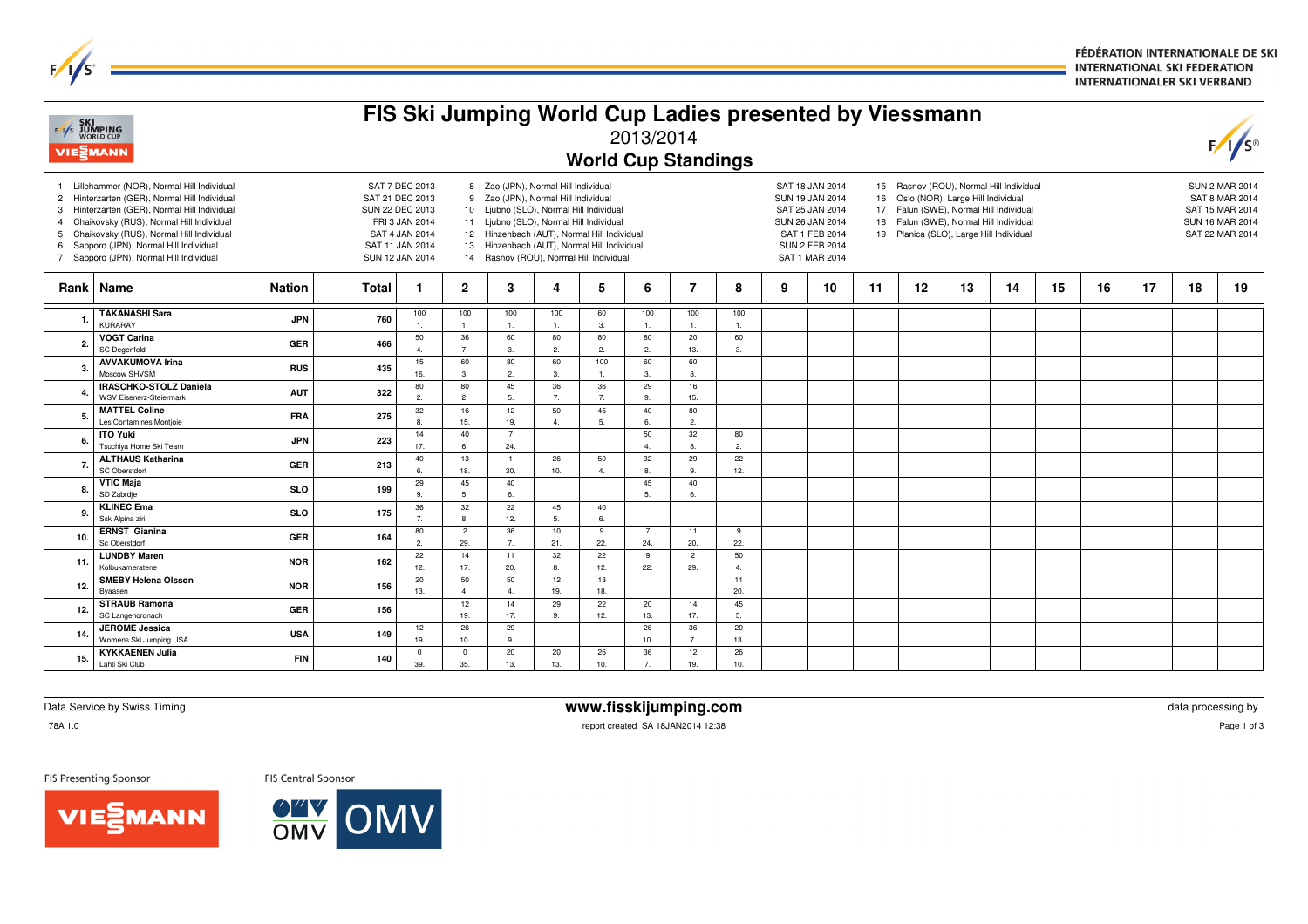FÉDÉRATION INTERNATIONALE DE SKI **INTERNATIONAL SKI FEDERATION INTERNATIONALER SKI VERBAND** 

| <b>EXT</b> SKI<br>EXT JUMPING<br>WORLD CUP<br><b>VIE</b> <i>MANN</i> |                                                                                                                                                                                                                                                                                                                 |       |                                                                                                                                                                                                                                                                                                                                                                                                                                                                                                                                                                                                                                                                                                                                                                                                                 |                       | FIS Ski Jumping World Cup Ladies presented by Viessmann |                       |                      | 2013/2014<br><b>World Cup Standings</b> |                       |                         |   |    |    |    |                                                                                                                |    |    |    |    |    | $F/I/S^{\circ}$ |
|----------------------------------------------------------------------|-----------------------------------------------------------------------------------------------------------------------------------------------------------------------------------------------------------------------------------------------------------------------------------------------------------------|-------|-----------------------------------------------------------------------------------------------------------------------------------------------------------------------------------------------------------------------------------------------------------------------------------------------------------------------------------------------------------------------------------------------------------------------------------------------------------------------------------------------------------------------------------------------------------------------------------------------------------------------------------------------------------------------------------------------------------------------------------------------------------------------------------------------------------------|-----------------------|---------------------------------------------------------|-----------------------|----------------------|-----------------------------------------|-----------------------|-------------------------|---|----|----|----|----------------------------------------------------------------------------------------------------------------|----|----|----|----|----|-----------------|
| $\overline{2}$<br>3<br>5<br>6                                        | Lillehammer (NOR), Normal Hill Individual<br>Hinterzarten (GER), Normal Hill Individual<br>Hinterzarten (GER), Normal Hill Individual<br>Chaikovsky (RUS), Normal Hill Individual<br>Chaikovsky (RUS), Normal Hill Individual<br>Sapporo (JPN), Normal Hill Individual<br>Sapporo (JPN), Normal Hill Individual |       | SAT 7 DEC 2013<br>8 Zao (JPN), Normal Hill Individual<br>SAT 18 JAN 2014<br>15 Rasnov (ROU), Normal Hill Individual<br>SAT 21 DEC 2013<br>9 Zao (JPN), Normal Hill Individual<br>SUN 19 JAN 2014<br>Oslo (NOR), Large Hill Individual<br>16<br>SUN 22 DEC 2013<br>10 Ljubno (SLO), Normal Hill Individual<br>SAT 25 JAN 2014<br>Falun (SWE), Normal Hill Individual<br>17<br>FRI 3 JAN 2014<br>11 Ljubno (SLO), Normal Hill Individual<br>SUN 26 JAN 2014<br>18 Falun (SWE), Normal Hill Individual<br>SAT 4 JAN 2014<br>12 Hinzenbach (AUT), Normal Hill Individual<br>SAT 1 FEB 2014<br>Planica (SLO), Large Hill Individual<br>19<br>SAT 11 JAN 2014<br>13 Hinzenbach (AUT), Normal Hill Individual<br><b>SUN 2 FEB 2014</b><br>14 Rasnov (ROU), Normal Hill Individual<br>SUN 12 JAN 2014<br>SAT 1 MAR 2014 |                       |                                                         |                       |                      |                                         |                       |                         |   |    |    |    | <b>SUN 2 MAR 2014</b><br><b>SAT 8 MAR 2014</b><br>SAT 15 MAR 2014<br><b>SUN 16 MAR 2014</b><br>SAT 22 MAR 2014 |    |    |    |    |    |                 |
|                                                                      | Rank   Name<br><b>Nation</b>                                                                                                                                                                                                                                                                                    | Total | -1                                                                                                                                                                                                                                                                                                                                                                                                                                                                                                                                                                                                                                                                                                                                                                                                              | $\overline{2}$        | 3                                                       | 4                     | 5                    | 6                                       | 7                     | 8                       | 9 | 10 | 11 | 12 | 13                                                                                                             | 14 | 15 | 16 | 17 | 18 | 19              |
| -1.                                                                  | <b>TAKANASHI Sara</b><br><b>JPN</b><br><b>KURARAY</b>                                                                                                                                                                                                                                                           | 760   | 100<br>$\mathbf{1}$                                                                                                                                                                                                                                                                                                                                                                                                                                                                                                                                                                                                                                                                                                                                                                                             | 100<br>-1.            | 100<br>$\overline{1}$                                   | 100<br>$\overline{1}$ | 60<br>3.             | 100<br>1.                               | 100                   | 100<br>$\overline{1}$ . |   |    |    |    |                                                                                                                |    |    |    |    |    |                 |
| $\overline{2}$                                                       | <b>VOGT Carina</b><br><b>GER</b><br><b>SC</b> Degenfeld                                                                                                                                                                                                                                                         | 466   | 50<br>$\overline{4}$                                                                                                                                                                                                                                                                                                                                                                                                                                                                                                                                                                                                                                                                                                                                                                                            | 36<br>7.              | 60<br>3.                                                | 80<br>$\overline{2}$  | 80<br>2.             | 80<br>2.                                | 20<br>13.             | 60<br>3.                |   |    |    |    |                                                                                                                |    |    |    |    |    |                 |
| -3.                                                                  | <b>AVVAKUMOVA Irina</b><br><b>RUS</b><br>Moscow SHVSM                                                                                                                                                                                                                                                           | 435   | 15<br>16.                                                                                                                                                                                                                                                                                                                                                                                                                                                                                                                                                                                                                                                                                                                                                                                                       | 60<br>3.              | 80<br>$\overline{c}$                                    | 60<br>3               | 100<br>1.            | 60<br>3.                                | 60<br>3.              |                         |   |    |    |    |                                                                                                                |    |    |    |    |    |                 |
| $\mathbf{4}$                                                         | <b>IRASCHKO-STOLZ Daniela</b><br><b>AUT</b><br><b>WSV Eisenerz-Steiermark</b>                                                                                                                                                                                                                                   | 322   | 80<br>2.                                                                                                                                                                                                                                                                                                                                                                                                                                                                                                                                                                                                                                                                                                                                                                                                        | 80<br>2.              | 45<br>5.                                                | 36<br>$\overline{7}$  | 36<br>7.             | 29<br>9.                                | 16<br>15.             |                         |   |    |    |    |                                                                                                                |    |    |    |    |    |                 |
| 5.                                                                   | <b>MATTEL Coline</b><br><b>FRA</b><br>Les Contamines Montjoie                                                                                                                                                                                                                                                   | 275   | 32<br>$\mathbf{R}$                                                                                                                                                                                                                                                                                                                                                                                                                                                                                                                                                                                                                                                                                                                                                                                              | 16<br>15.             | 12<br>19.                                               | 50<br>$\Delta$        | 45<br>5.             | 40<br>6.                                | 80<br>2.              |                         |   |    |    |    |                                                                                                                |    |    |    |    |    |                 |
| 6.                                                                   | <b>ITO Yuki</b><br><b>JPN</b><br>Tsuchiya Home Ski Team                                                                                                                                                                                                                                                         | 223   | 14<br>17.                                                                                                                                                                                                                                                                                                                                                                                                                                                                                                                                                                                                                                                                                                                                                                                                       | 40<br>6.              | $\overline{7}$<br>24.                                   |                       |                      | 50<br>4.                                | 32                    | 80<br>$\overline{2}$    |   |    |    |    |                                                                                                                |    |    |    |    |    |                 |
| $\overline{7}$                                                       | <b>ALTHAUS Katharina</b><br><b>GER</b><br>SC Oberstdorf                                                                                                                                                                                                                                                         | 213   | 40<br>6.                                                                                                                                                                                                                                                                                                                                                                                                                                                                                                                                                                                                                                                                                                                                                                                                        | 13<br>18.             | $\overline{1}$<br>30.                                   | 26<br>10.             | 50<br>$\overline{4}$ | 32<br>8.                                | 29<br>9.              | 22<br>12.               |   |    |    |    |                                                                                                                |    |    |    |    |    |                 |
| 8                                                                    | <b>VTIC Maja</b><br><b>SLO</b><br>SD Zabrdje                                                                                                                                                                                                                                                                    | 199   | 29<br>9.                                                                                                                                                                                                                                                                                                                                                                                                                                                                                                                                                                                                                                                                                                                                                                                                        | 45<br>5.              | 40<br>6.                                                |                       |                      | 45<br>5.                                | 40<br>6.              |                         |   |    |    |    |                                                                                                                |    |    |    |    |    |                 |
| 9.                                                                   | <b>KLINEC Ema</b><br><b>SLO</b><br>Ssk Alpina ziri                                                                                                                                                                                                                                                              | 175   | 36<br>7 <sub>1</sub>                                                                                                                                                                                                                                                                                                                                                                                                                                                                                                                                                                                                                                                                                                                                                                                            | 32<br>8.              | 22<br>12.                                               | 45<br>5.              | 40<br>6.             |                                         |                       |                         |   |    |    |    |                                                                                                                |    |    |    |    |    |                 |
| 10.                                                                  | <b>ERNST Gianina</b><br><b>GER</b><br>Sc Oberstdorf                                                                                                                                                                                                                                                             | 164   | 80<br>2.                                                                                                                                                                                                                                                                                                                                                                                                                                                                                                                                                                                                                                                                                                                                                                                                        | $\overline{2}$<br>29. | 36<br>$\overline{7}$                                    | 10<br>21.             | 9<br>22.             | $\overline{7}$<br>24.                   | 11<br>20.             | 9<br>22.                |   |    |    |    |                                                                                                                |    |    |    |    |    |                 |
| 11.                                                                  | <b>LUNDBY Maren</b><br><b>NOR</b><br>Kolbukameratene                                                                                                                                                                                                                                                            | 162   | 22<br>12.                                                                                                                                                                                                                                                                                                                                                                                                                                                                                                                                                                                                                                                                                                                                                                                                       | 14<br>17.             | 11<br>20.                                               | 32<br>8               | 22<br>12.            | 9<br>22.                                | $\overline{c}$<br>29. | 50<br>4.                |   |    |    |    |                                                                                                                |    |    |    |    |    |                 |
| 12.                                                                  | <b>SMEBY Helena Olsson</b><br><b>NOR</b><br>Byaasen                                                                                                                                                                                                                                                             | 156   | 20<br>13.                                                                                                                                                                                                                                                                                                                                                                                                                                                                                                                                                                                                                                                                                                                                                                                                       | 50<br>$\overline{4}$  | 50<br>$\overline{4}$                                    | 12<br>19.             | 13<br>18.            |                                         |                       | 11<br>20.               |   |    |    |    |                                                                                                                |    |    |    |    |    |                 |
| 12.                                                                  | <b>STRAUB Ramona</b><br>GER<br>SC Langenordnach                                                                                                                                                                                                                                                                 | 156   |                                                                                                                                                                                                                                                                                                                                                                                                                                                                                                                                                                                                                                                                                                                                                                                                                 | 12<br>19.             | 14<br>17.                                               | 29<br>9               | 22<br>12.            | 20<br>13.                               | 14<br>17.             | 45<br>5.                |   |    |    |    |                                                                                                                |    |    |    |    |    |                 |
| 14                                                                   | <b>JEROME Jessica</b><br><b>USA</b><br>Womens Ski Jumping USA                                                                                                                                                                                                                                                   | 149   | 12<br>19.                                                                                                                                                                                                                                                                                                                                                                                                                                                                                                                                                                                                                                                                                                                                                                                                       | 26<br>10.             | 29<br>9.                                                |                       |                      | 26<br>10.                               | 36<br>7.              | 20<br>13.               |   |    |    |    |                                                                                                                |    |    |    |    |    |                 |
| 15.                                                                  | <b>KYKKAENEN Julia</b><br><b>FIN</b><br>Lahti Ski Club                                                                                                                                                                                                                                                          | 140   | $^{\circ}$<br>39.                                                                                                                                                                                                                                                                                                                                                                                                                                                                                                                                                                                                                                                                                                                                                                                               | $^{\circ}$<br>35.     | 20<br>13.                                               | 20<br>13.             | 26<br>10.            | 36<br>7 <sub>1</sub>                    | 12<br>19.             | 26<br>10.               |   |    |    |    |                                                                                                                |    |    |    |    |    |                 |

Data Service by Swiss Timing

\_78A 1.0

FIS Presenting Sponsor

FIS Central Sponsor



 **www.fisskijumping.com**report created SA 18JAN2014 12:38

 $\mathsf{m}$  data processing by data processing by data processing by data  $\mathsf{p}_\mathsf{2004}$ 

Page 1 of 3



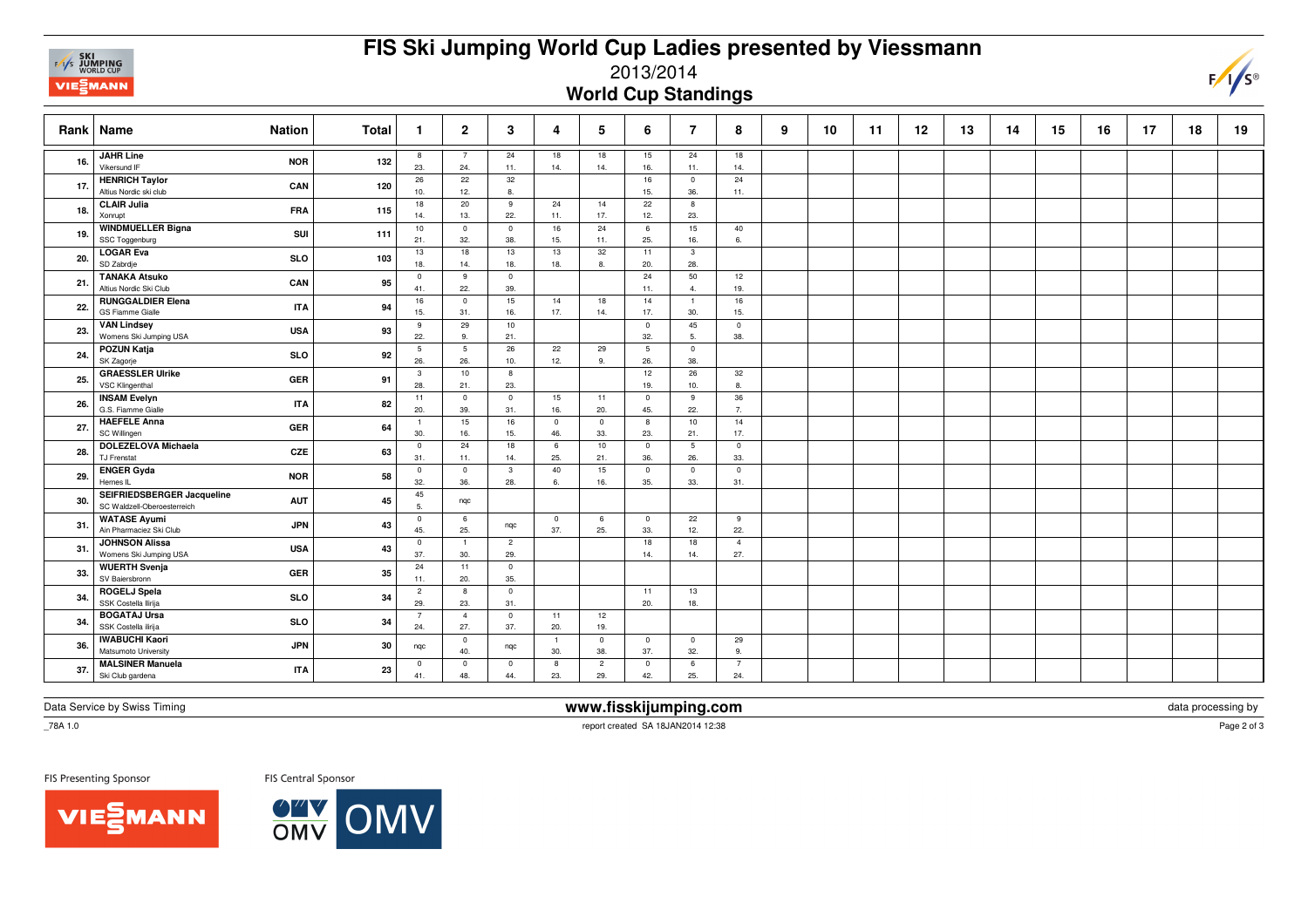

## **FIS Ski Jumping World Cup Ladies presented by Viessmann**

2013/2014

**World Cup Standings**

|     | Rank   Name<br><b>Nation</b>                                            | <b>Total</b> | -1                    | $\mathbf{2}$          | 3                     | 4                     | 5                     | 6                              | 7                     | 8                              | 9 | 10 | 11 | 12 | 13 | 14 | 15 | 16 | 17 | 18 | 19 |
|-----|-------------------------------------------------------------------------|--------------|-----------------------|-----------------------|-----------------------|-----------------------|-----------------------|--------------------------------|-----------------------|--------------------------------|---|----|----|----|----|----|----|----|----|----|----|
| 16. | <b>JAHR Line</b><br><b>NOR</b><br>Vikersund IF                          | 132          | 8<br>23.              | 24.                   | 24<br>11.             | 18<br>14.             | 18<br>14.             | 15<br>16.                      | 24<br>11.             | 18<br>14.                      |   |    |    |    |    |    |    |    |    |    |    |
| 17. | <b>HENRICH Taylor</b><br>CAN<br>Altius Nordic ski club                  | 120          | 26<br>10.             | 22<br>12.             | 32<br>8.              |                       |                       | 16<br>15.                      | $\mathbf 0$<br>36.    | 24<br>11.                      |   |    |    |    |    |    |    |    |    |    |    |
| 18. | <b>CLAIR Julia</b><br><b>FRA</b><br>Xonrupt                             | 115          | 18<br>14.             | 20<br>13.             | 9<br>22.              | 24<br>11.             | 14<br>17.             | 22<br>12.                      | 8<br>23.              |                                |   |    |    |    |    |    |    |    |    |    |    |
| 19. | <b>WINDMUELLER Bigna</b><br>SUI<br>SSC Toggenburg                       | 111          | 10<br>21.             | $^{\circ}$<br>32.     | $\mathbf 0$<br>38.    | 16<br>15.             | 24<br>11.             | 6<br>25.                       | 15<br>16.             | 40<br>6.                       |   |    |    |    |    |    |    |    |    |    |    |
| 20. | <b>LOGAR Eva</b><br><b>SLO</b><br>SD Zabrdje                            | 103          | 13<br>18.             | 18<br>14.             | 13<br>18.             | 13<br>18.             | 32<br>8.              | 11<br>20.                      | $\mathbf{3}$<br>28.   |                                |   |    |    |    |    |    |    |    |    |    |    |
| 21. | <b>TANAKA Atsuko</b><br>CAN<br>Altius Nordic Ski Club                   | 95           | $\mathsf 0$<br>41.    | 9<br>22.              | $\mathbf 0$<br>39.    |                       |                       | 24<br>11.                      | 50<br>4.              | 12<br>19.                      |   |    |    |    |    |    |    |    |    |    |    |
| 22. | <b>RUNGGALDIER Elena</b><br><b>ITA</b><br>GS Fiamme Gialle              | 94           | 16<br>15.             | $^{\circ}$<br>31.     | 15<br>16.             | 14<br>17.             | 18<br>14.             | 14<br>17.                      | $\overline{1}$<br>30. | 16<br>15.                      |   |    |    |    |    |    |    |    |    |    |    |
| 23. | <b>VAN Lindsey</b><br><b>USA</b><br>Womens Ski Jumping USA              | 93           | 9<br>22.              | 29<br>9.              | 10<br>21.             |                       |                       | $\overline{\mathbf{0}}$<br>32. | 45<br>5.              | $\overline{0}$<br>38.          |   |    |    |    |    |    |    |    |    |    |    |
| 24. | POZUN Katja<br><b>SLO</b><br>SK Zagorje                                 | 92           | 5<br>26.              | -5<br>26.             | 26<br>10.             | 22<br>12.             | 29<br>9.              | $5\phantom{.0}$<br>26.         | $\mathbf 0$<br>38.    |                                |   |    |    |    |    |    |    |    |    |    |    |
| 25. | <b>GRAESSLER Ulrike</b><br><b>GER</b><br>VSC Klingenthal                | 91           | $\mathbf{3}$<br>28.   | 10<br>21.             | 8<br>23.              |                       |                       | 12<br>19.                      | 26<br>10.             | 32<br>$\mathbf{8}$             |   |    |    |    |    |    |    |    |    |    |    |
| 26. | <b>INSAM Evelyn</b><br><b>ITA</b><br>G.S. Fiamme Gialle                 | 82           | 11<br>20.             | $^{\circ}$<br>39.     | $\mathbf 0$<br>31.    | 15<br>16.             | 11<br>20.             | $\overline{0}$<br>45.          | 9<br>22.              | 36<br>7.                       |   |    |    |    |    |    |    |    |    |    |    |
| 27. | <b>HAEFELE Anna</b><br><b>GER</b><br>SC Willingen                       | 64           | $\overline{1}$<br>30. | 15<br>16.             | 16<br>15.             | $\mathbf 0$<br>46.    | $\mathbf 0$<br>33.    | 8<br>23.                       | 10<br>21.             | 14<br>17.                      |   |    |    |    |    |    |    |    |    |    |    |
| 28. | <b>DOLEZELOVA Michaela</b><br>CZE<br>TJ Frenstat                        | 63           | $\mathbf{0}$<br>31.   | 24<br>11.             | 18<br>14.             | 6<br>25.              | 10<br>21.             | $\overline{0}$<br>36.          | 5<br>26.              | $\overline{0}$<br>33.          |   |    |    |    |    |    |    |    |    |    |    |
| 29. | <b>ENGER Gyda</b><br><b>NOR</b><br>Hernes IL                            | 58           | $\mathbf 0$<br>32.    | $^{\circ}$<br>36.     | $\mathbf{3}$<br>28.   | 40<br>6.              | 15<br>16.             | $\mathbf 0$<br>35.             | $\mathbf 0$<br>33.    | $\overline{\mathbf{0}}$<br>31. |   |    |    |    |    |    |    |    |    |    |    |
| 30. | SEIFRIEDSBERGER Jacqueline<br><b>AUT</b><br>SC Waldzell-Oberoesterreich | 45           | 45<br>5.              | ngc                   |                       |                       |                       |                                |                       |                                |   |    |    |    |    |    |    |    |    |    |    |
| 31. | <b>WATASE Ayumi</b><br><b>JPN</b><br>Ain Pharmaciez Ski Club            | 43           | $\mathbf 0$<br>45.    | 6<br>25.              | ngc                   | $\overline{0}$<br>37. | 6<br>25.              | $\mathbf 0$<br>33.             | 22<br>12.             | 9<br>22.                       |   |    |    |    |    |    |    |    |    |    |    |
| 31. | <b>JOHNSON Alissa</b><br><b>USA</b><br>Womens Ski Jumping USA           | 43           | $\mathbf 0$<br>37.    | $\blacksquare$<br>30. | $\overline{2}$<br>29. |                       |                       | 18<br>14.                      | 18<br>14.             | $\overline{4}$<br>27.          |   |    |    |    |    |    |    |    |    |    |    |
| 33. | <b>WUERTH Svenja</b><br><b>GER</b><br>SV Baiersbronn                    | 35           | 24<br>11.             | 11<br>20.             | $\mathbf{0}$<br>35.   |                       |                       |                                |                       |                                |   |    |    |    |    |    |    |    |    |    |    |
| 34. | <b>ROGELJ Spela</b><br><b>SLO</b><br>SSK Costella Ilirija               | 34           | $\overline{c}$<br>29. | 8<br>23.              | $\mathbf 0$<br>31.    |                       |                       | 11<br>20.                      | 13<br>18.             |                                |   |    |    |    |    |    |    |    |    |    |    |
| 34. | <b>BOGATAJ Ursa</b><br><b>SLO</b><br>SSK Costella ilirija               | 34           | $\overline{7}$<br>24. | $\overline{4}$<br>27. | $\overline{0}$<br>37. | 11<br>20.             | 12<br>19.             |                                |                       |                                |   |    |    |    |    |    |    |    |    |    |    |
| 36. | <b>IWABUCHI Kaori</b><br><b>JPN</b><br>Matsumoto University             | 30           | nqc                   | $^{\circ}$<br>40.     | nqc                   | $\overline{1}$<br>30. | $\overline{0}$<br>38. | $\overline{0}$<br>37.          | $\overline{0}$<br>32. | 29<br>9.                       |   |    |    |    |    |    |    |    |    |    |    |
| 37. | <b>MALSINER Manuela</b><br><b>ITA</b><br>Ski Club gardena               | 23           | $\mathbf 0$<br>41.    | $\mathbf{0}$<br>48.   | $\overline{0}$<br>44. | 8<br>23.              | $\overline{c}$<br>29. | $\mathbf 0$<br>42.             | 6<br>25.              | - 7<br>24.                     |   |    |    |    |    |    |    |    |    |    |    |

Data Service by Swiss Timing

 $\_78A 1.0$ 

 **www.fisskijumping.com**report created SA 18JAN2014 12:38

 $\mathsf{m}$  data processing by data processing by data  $\mathsf{p}_\mathsf{2002M}$ 

Page 2 of 3

 $F/\sqrt{s}$ 

FIS Presenting Sponsor

**VIESMANN**